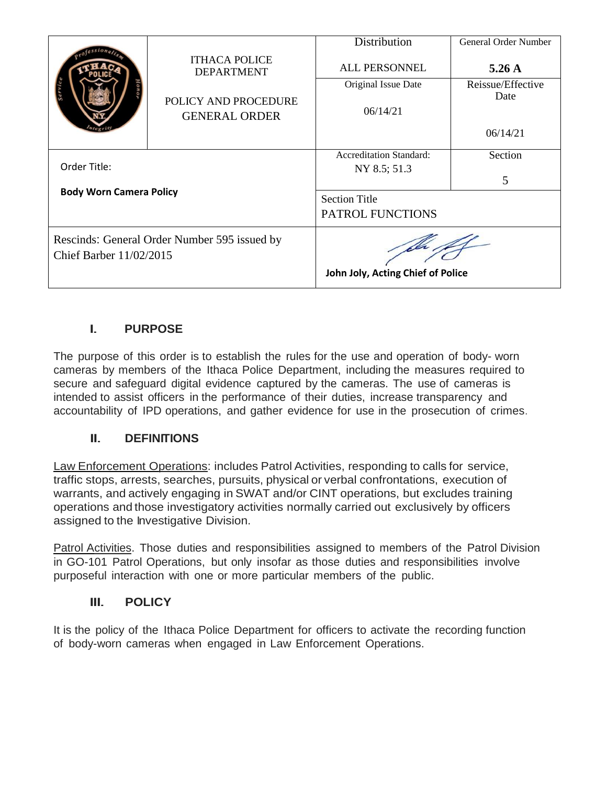|                                                                                |                                              | Distribution                      | General Order Number |
|--------------------------------------------------------------------------------|----------------------------------------------|-----------------------------------|----------------------|
|                                                                                | <b>ITHACA POLICE</b><br><b>DEPARTMENT</b>    | <b>ALL PERSONNEL</b>              | $5.26 \text{ A}$     |
|                                                                                |                                              | Original Issue Date               | Reissue/Effective    |
|                                                                                | POLICY AND PROCEDURE<br><b>GENERAL ORDER</b> | 06/14/21                          | Date                 |
|                                                                                |                                              |                                   | 06/14/21             |
|                                                                                |                                              | <b>Accreditation Standard:</b>    | Section              |
| Order Title:                                                                   |                                              | NY 8.5; 51.3                      |                      |
| <b>Body Worn Camera Policy</b>                                                 |                                              |                                   | 5                    |
|                                                                                |                                              | <b>Section Title</b>              |                      |
|                                                                                |                                              | PATROL FUNCTIONS                  |                      |
| Rescinds: General Order Number 595 issued by<br><b>Chief Barber 11/02/2015</b> |                                              |                                   |                      |
|                                                                                |                                              | John Joly, Acting Chief of Police |                      |

# I. **PURPOSE**

The purpose of this order is to establish the rules for the use and operation of body- worn cameras by members of the Ithaca Police Department, including the measures required to secure and safeguard digital evidence captured by the cameras. The use of cameras is intended to assist officers in the performance of their duties, increase transparency and accountability of IPD operations, and gather evidence for use in the prosecution of crimes.

## II. **DEFINITIONS**

Law Enforcement Operations: includes Patrol Activities, responding to calls for service, traffic stops, arrests, searches, pursuits, physical or verbal confrontations, execution of warrants, and actively engaging in SWAT and/or CINT operations, but excludes training operations and those investigatory activities normally carried out exclusively by officers assigned to the Investigative Division.

Patrol Activities. Those duties and responsibilities assigned to members of the Patrol Division in GO-101 Patrol Operations, but only insofar as those duties and responsibilities involve purposeful interaction with one or more particular members of the public.

### III. **POLICY**

It is the policy of the Ithaca Police Department for officers to activate the recording function of body-worn cameras when engaged in Law Enforcement Operations.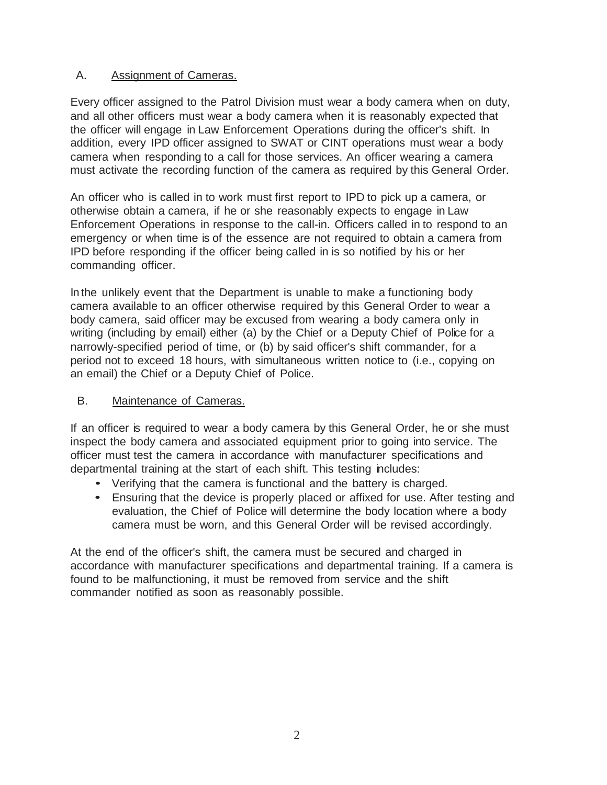### A. Assignment of Cameras.

Every officer assigned to the Patrol Division must wear a body camera when on duty, and all other officers must wear a body camera when it is reasonably expected that the officer will engage in Law Enforcement Operations during the officer's shift. In addition, every IPD officer assigned to SWAT or CINT operations must wear a body camera when responding to a call for those services. An officer wearing a camera must activate the recording function of the camera as required by this General Order.

An officer who is called in to work must first report to IPD to pick up a camera, or otherwise obtain a camera, if he or she reasonably expects to engage in Law Enforcement Operations in response to the call-in. Officers called in to respond to an emergency or when time is of the essence are not required to obtain a camera from IPD before responding if the officer being called in is so notified by his or her commanding officer.

In the unlikely event that the Department is unable to make a functioning body camera available to an officer otherwise required by this General Order to wear a body camera, said officer may be excused from wearing a body camera only in writing (including by email) either (a) by the Chief or a Deputy Chief of Police for a narrowly-specified period of time, or (b) by said officer's shift commander, for a period not to exceed 18 hours, with simultaneous written notice to (i.e., copying on an email) the Chief or a Deputy Chief of Police.

## B. Maintenance of Cameras.

If an officer is required to wear a body camera by this General Order, he or she must inspect the body camera and associated equipment prior to going into service. The officer must test the camera in accordance with manufacturer specifications and departmental training at the start of each shift. This testing includes:

- Verifying that the camera is functional and the battery is charged.
- Ensuring that the device is properly placed or affixed for use. After testing and evaluation, the Chief of Police will determine the body location where a body camera must be worn, and this General Order will be revised accordingly.

At the end of the officer's shift, the camera must be secured and charged in accordance with manufacturer specifications and departmental training. If a camera is found to be malfunctioning, it must be removed from service and the shift commander notified as soon as reasonably possible.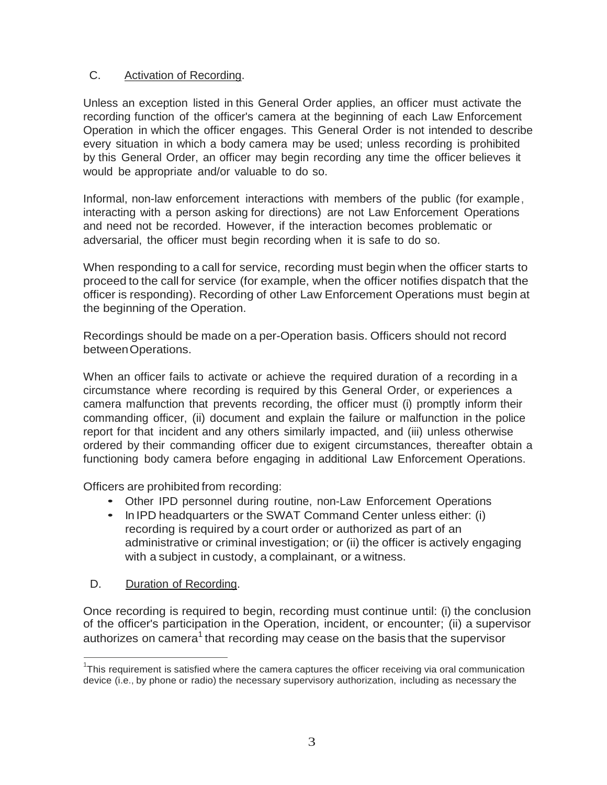## C. Activation of Recording.

Unless an exception listed in this General Order applies, an officer must activate the recording function of the officer's camera at the beginning of each Law Enforcement Operation in which the officer engages. This General Order is not intended to describe every situation in which a body camera may be used; unless recording is prohibited by this General Order, an officer may begin recording any time the officer believes it would be appropriate and/or valuable to do so.

Informal, non-law enforcement interactions with members of the public (for example, interacting with a person asking for directions) are not Law Enforcement Operations and need not be recorded. However, if the interaction becomes problematic or adversarial, the officer must begin recording when it is safe to do so.

When responding to a call for service, recording must begin when the officer starts to proceed to the call for service (for example, when the officer notifies dispatch that the officer is responding). Recording of other Law Enforcement Operations must begin at the beginning of the Operation.

Recordings should be made on a per-Operation basis. Officers should not record betweenOperations.

When an officer fails to activate or achieve the required duration of a recording in a circumstance where recording is required by this General Order, or experiences a camera malfunction that prevents recording, the officer must (i) promptly inform their commanding officer, (ii) document and explain the failure or malfunction in the police report for that incident and any others similarly impacted, and (iii) unless otherwise ordered by their commanding officer due to exigent circumstances, thereafter obtain a functioning body camera before engaging in additional Law Enforcement Operations.

Officers are prohibited from recording:

- Other IPD personnel during routine, non-Law Enforcement Operations
- In IPD headquarters or the SWAT Command Center unless either: (i) recording is required by a court order or authorized as part of an administrative or criminal investigation; or (ii) the officer is actively engaging with a subject in custody, a complainant, or a witness.
- D. Duration of Recording.

Once recording is required to begin, recording must continue until: (i) the conclusion of the officer's participation in the Operation, incident, or encounter; (ii) a supervisor authorizes on camera $^{\rm 1}$  that recording may cease on the basis that the supervisor

 $1$ This requirement is satisfied where the camera captures the officer receiving via oral communication device (i.e., by phone or radio) the necessary supervisory authorization, including as necessary the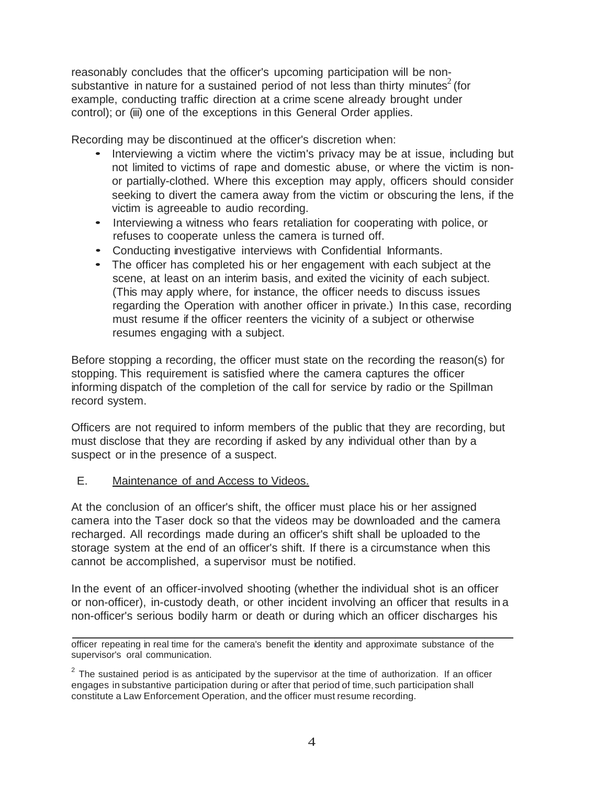reasonably concludes that the officer's upcoming participation will be nonsubstantive in nature for a sustained period of not less than thirty minutes<sup>2</sup> (for example, conducting traffic direction at a crime scene already brought under control); or (iii) one of the exceptions in this General Order applies.

Recording may be discontinued at the officer's discretion when:

- Interviewing <sup>a</sup> victim where the victim's privacy may be at issue, including but not limited to victims of rape and domestic abuse, or where the victim is nonor partially-clothed. Where this exception may apply, officers should consider seeking to divert the camera away from the victim or obscuring the lens, if the victim is agreeable to audio recording.
- Interviewing <sup>a</sup> witness who fears retaliation for cooperating with police, or refuses to cooperate unless the camera is turned off.
- Conducting investigative interviews with Confidential Informants.
- The officer has completed his or her engagement with each subject at the scene, at least on an interim basis, and exited the vicinity of each subject. (This may apply where, for instance, the officer needs to discuss issues regarding the Operation with another officer in private.) In this case, recording must resume if the officer reenters the vicinity of a subject or otherwise resumes engaging with a subject.

Before stopping a recording, the officer must state on the recording the reason(s) for stopping. This requirement is satisfied where the camera captures the officer informing dispatch of the completion of the call for service by radio or the Spillman record system.

Officers are not required to inform members of the public that they are recording, but must disclose that they are recording if asked by any individual other than by a suspect or in the presence of a suspect.

#### E. Maintenance of and Access to Videos.

At the conclusion of an officer's shift, the officer must place his or her assigned camera into the Taser dock so that the videos may be downloaded and the camera recharged. All recordings made during an officer's shift shall be uploaded to the storage system at the end of an officer's shift. If there is a circumstance when this cannot be accomplished, a supervisor must be notified.

In the event of an officer-involved shooting (whether the individual shot is an officer or non-officer), in-custody death, or other incident involving an officer that results in a non-officer's serious bodily harm or death or during which an officer discharges his

officer repeating in real time for the camera's benefit the identity and approximate substance of the supervisor's oral communication.

 $2$  The sustained period is as anticipated by the supervisor at the time of authorization. If an officer engages in substantive participation during or after that period of time, such participation shall constitute a Law Enforcement Operation, and the officer must resume recording.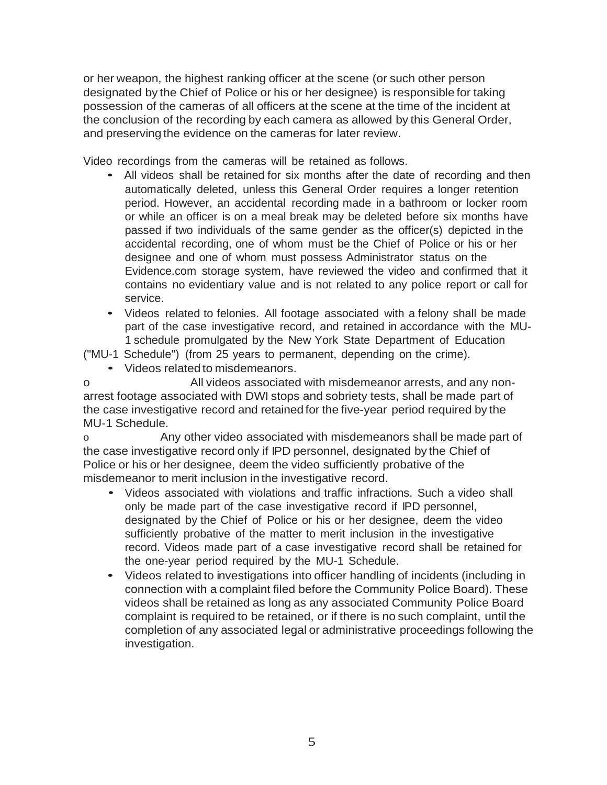or her weapon, the highest ranking officer at the scene (or such other person designated by the Chief of Police or his or her designee) is responsible for taking possession of the cameras of all officers at the scene at the time of the incident at the conclusion of the recording by each camera as allowed by this General Order, and preserving the evidence on the cameras for later review.

Video recordings from the cameras will be retained as follows.

- All videos shall be retained for six months after the date of recording and then automatically deleted, unless this General Order requires a longer retention period. However, an accidental recording made in a bathroom or locker room or while an officer is on a meal break may be deleted before six months have passed if two individuals of the same gender as the officer(s) depicted in the accidental recording, one of whom must be the Chief of Police or his or her designee and one of whom must possess Administrator status on the Evidence.com storage system, have reviewed the video and confirmed that it contains no evidentiary value and is not related to any police report or call for service.
- Videos related to felonies. All footage associated with <sup>a</sup> felony shall be made part of the case investigative record, and retained in accordance with the MU-1 schedule promulgated by the New York State Department of Education

("MU-1 Schedule") (from 25 years to permanent, depending on the crime).

• Videos related to misdemeanors.

o All videos associated with misdemeanor arrests, and any nonarrest footage associated with DWI stops and sobriety tests, shall be made part of the case investigative record and retained for the five-year period required by the MU-1 Schedule.

o Any other video associated with misdemeanors shall be made part of the case investigative record only if IPD personnel, designated by the Chief of Police or his or her designee, deem the video sufficiently probative of the misdemeanor to merit inclusion in the investigative record.

- Videos associated with violations and traffic infractions. Such <sup>a</sup> video shall only be made part of the case investigative record if IPD personnel, designated by the Chief of Police or his or her designee, deem the video sufficiently probative of the matter to merit inclusion in the investigative record. Videos made part of a case investigative record shall be retained for the one-year period required by the MU-1 Schedule.
- Videos related to investigations into officer handling of incidents (including in connection with a complaint filed before the Community Police Board). These videos shall be retained as long as any associated Community Police Board complaint is required to be retained, or if there is no such complaint, until the completion of any associated legal or administrative proceedings following the investigation.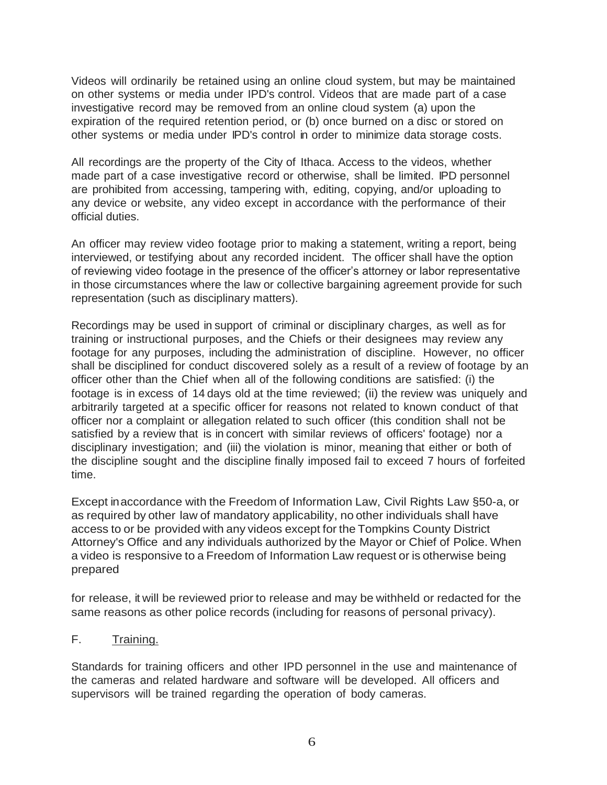Videos will ordinarily be retained using an online cloud system, but may be maintained on other systems or media under IPD's control. Videos that are made part of a case investigative record may be removed from an online cloud system (a) upon the expiration of the required retention period, or (b) once burned on a disc or stored on other systems or media under IPD's control in order to minimize data storage costs.

All recordings are the property of the City of Ithaca. Access to the videos, whether made part of a case investigative record or otherwise, shall be limited. IPD personnel are prohibited from accessing, tampering with, editing, copying, and/or uploading to any device or website, any video except in accordance with the performance of their official duties.

An officer may review video footage prior to making a statement, writing a report, being interviewed, or testifying about any recorded incident. The officer shall have the option of reviewing video footage in the presence of the officer's attorney or labor representative in those circumstances where the law or collective bargaining agreement provide for such representation (such as disciplinary matters).

Recordings may be used in support of criminal or disciplinary charges, as well as for training or instructional purposes, and the Chiefs or their designees may review any footage for any purposes, including the administration of discipline. However, no officer shall be disciplined for conduct discovered solely as a result of a review of footage by an officer other than the Chief when all of the following conditions are satisfied: (i) the footage is in excess of 14 days old at the time reviewed; (ii) the review was uniquely and arbitrarily targeted at a specific officer for reasons not related to known conduct of that officer nor a complaint or allegation related to such officer (this condition shall not be satisfied by a review that is in concert with similar reviews of officers' footage) nor a disciplinary investigation; and (iii) the violation is minor, meaning that either or both of the discipline sought and the discipline finally imposed fail to exceed 7 hours of forfeited time.

Except inaccordance with the Freedom of Information Law, Civil Rights Law §50-a, or as required by other law of mandatory applicability, no other individuals shall have access to or be provided with any videos except for the Tompkins County District Attorney's Office and any individuals authorized by the Mayor or Chief of Police. When a video is responsive to a Freedom of Information Law request or is otherwise being prepared

for release, it will be reviewed prior to release and may be withheld or redacted for the same reasons as other police records (including for reasons of personal privacy).

#### F. Training.

Standards for training officers and other IPD personnel in the use and maintenance of the cameras and related hardware and software will be developed. All officers and supervisors will be trained regarding the operation of body cameras.